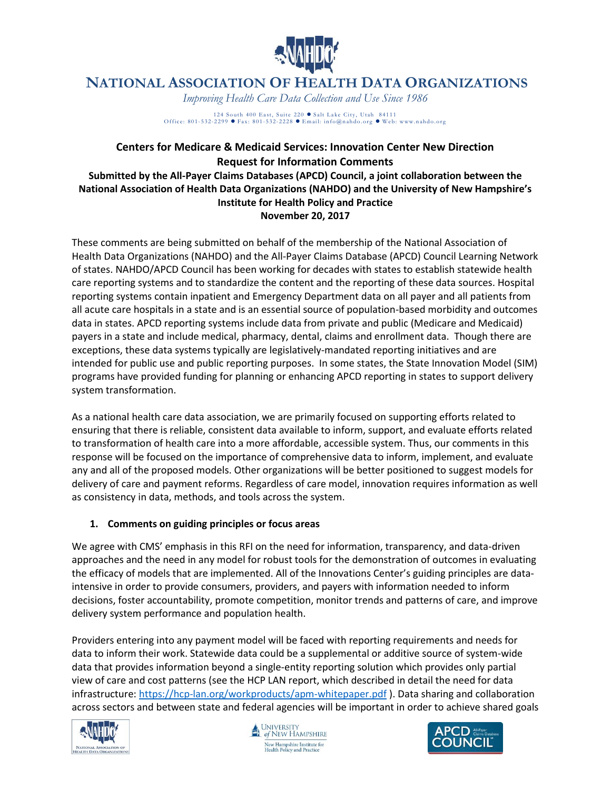

## **NATIONAL ASSOCIATION OF HEALTH DATA ORGANIZATIONS**

*Improving Health Care Data Collection and Use Since 1986*

124 South 400 East, Suite 220 • Salt Lake City, Utah 84111<br>Office: 801-532-2299 • Fax: 801-532-2228 • Email: info@nahdo.org • Web: www.nahdo.org

## **Centers for Medicare & Medicaid Services: Innovation Center New Direction Request for Information Comments**

**Submitted by the All-Payer Claims Databases (APCD) Council, a joint collaboration between the National Association of Health Data Organizations (NAHDO) and the University of New Hampshire's Institute for Health Policy and Practice November 20, 2017**

These comments are being submitted on behalf of the membership of the National Association of Health Data Organizations (NAHDO) and the All-Payer Claims Database (APCD) Council Learning Network of states. NAHDO/APCD Council has been working for decades with states to establish statewide health care reporting systems and to standardize the content and the reporting of these data sources. Hospital reporting systems contain inpatient and Emergency Department data on all payer and all patients from all acute care hospitals in a state and is an essential source of population-based morbidity and outcomes data in states. APCD reporting systems include data from private and public (Medicare and Medicaid) payers in a state and include medical, pharmacy, dental, claims and enrollment data. Though there are exceptions, these data systems typically are legislatively-mandated reporting initiatives and are intended for public use and public reporting purposes. In some states, the State Innovation Model (SIM) programs have provided funding for planning or enhancing APCD reporting in states to support delivery system transformation.

As a national health care data association, we are primarily focused on supporting efforts related to ensuring that there is reliable, consistent data available to inform, support, and evaluate efforts related to transformation of health care into a more affordable, accessible system. Thus, our comments in this response will be focused on the importance of comprehensive data to inform, implement, and evaluate any and all of the proposed models. Other organizations will be better positioned to suggest models for delivery of care and payment reforms. Regardless of care model, innovation requires information as well as consistency in data, methods, and tools across the system.

## **1. Comments on guiding principles or focus areas**

We agree with CMS' emphasis in this RFI on the need for information, transparency, and data-driven approaches and the need in any model for robust tools for the demonstration of outcomes in evaluating the efficacy of models that are implemented. All of the Innovations Center's guiding principles are dataintensive in order to provide consumers, providers, and payers with information needed to inform decisions, foster accountability, promote competition, monitor trends and patterns of care, and improve delivery system performance and population health.

Providers entering into any payment model will be faced with reporting requirements and needs for data to inform their work. Statewide data could be a supplemental or additive source of system-wide data that provides information beyond a single-entity reporting solution which provides only partial view of care and cost patterns (see the HCP LAN report, which described in detail the need for data infrastructure:<https://hcp-lan.org/workproducts/apm-whitepaper.pdf> ). Data sharing and collaboration across sectors and between state and federal agencies will be important in order to achieve shared goals





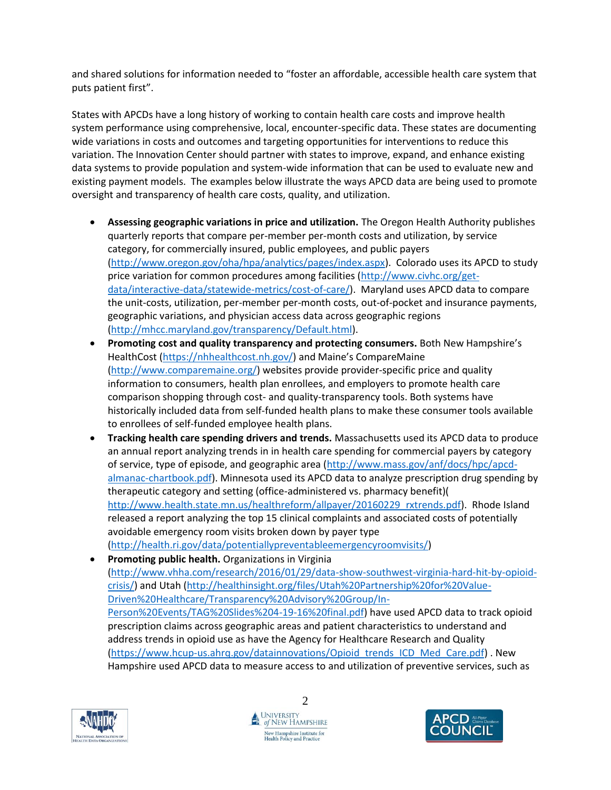and shared solutions for information needed to "foster an affordable, accessible health care system that puts patient first".

States with APCDs have a long history of working to contain health care costs and improve health system performance using comprehensive, local, encounter-specific data. These states are documenting wide variations in costs and outcomes and targeting opportunities for interventions to reduce this variation. The Innovation Center should partner with states to improve, expand, and enhance existing data systems to provide population and system-wide information that can be used to evaluate new and existing payment models. The examples below illustrate the ways APCD data are being used to promote oversight and transparency of health care costs, quality, and utilization.

- **Assessing geographic variations in price and utilization.** The Oregon Health Authority publishes quarterly reports that compare per-member per-month costs and utilization, by service category, for commercially insured, public employees, and public payers [\(http://www.oregon.gov/oha/hpa/analytics/pages/index.aspx\)](http://www.oregon.gov/oha/hpa/analytics/pages/index.aspx). Colorado uses its APCD to study price variation for common procedures among facilities [\(http://www.civhc.org/get](http://www.civhc.org/get-data/interactive-data/statewide-metrics/cost-of-care/)[data/interactive-data/statewide-metrics/cost-of-care/\)](http://www.civhc.org/get-data/interactive-data/statewide-metrics/cost-of-care/). Maryland uses APCD data to compare the unit-costs, utilization, per-member per-month costs, out-of-pocket and insurance payments, geographic variations, and physician access data across geographic regions [\(http://mhcc.maryland.gov/transparency/Default.html\)](http://mhcc.maryland.gov/transparency/Default.html).
- **Promoting cost and quality transparency and protecting consumers.** Both New Hampshire's HealthCost [\(https://nhhealthcost.nh.gov/](https://nhhealthcost.nh.gov/)) and Maine's CompareMaine [\(http://www.comparemaine.org/\)](http://www.comparemaine.org/) websites provide provider-specific price and quality information to consumers, health plan enrollees, and employers to promote health care comparison shopping through cost- and quality-transparency tools. Both systems have historically included data from self-funded health plans to make these consumer tools available to enrollees of self-funded employee health plans.
- **Tracking health care spending drivers and trends.** Massachusetts used its APCD data to produce an annual report analyzing trends in in health care spending for commercial payers by category of service, type of episode, and geographic area [\(http://www.mass.gov/anf/docs/hpc/apcd](http://www.mass.gov/anf/docs/hpc/apcd-almanac-chartbook.pdf)[almanac-chartbook.pdf\)](http://www.mass.gov/anf/docs/hpc/apcd-almanac-chartbook.pdf). Minnesota used its APCD data to analyze prescription drug spending by therapeutic category and setting (office-administered vs. pharmacy benefit)( [http://www.health.state.mn.us/healthreform/allpayer/20160229\\_rxtrends.pdf\)](http://www.health.state.mn.us/healthreform/allpayer/20160229_rxtrends.pdf). Rhode Island released a report analyzing the top 15 clinical complaints and associated costs of potentially avoidable emergency room visits broken down by payer type [\(http://health.ri.gov/data/potentiallypreventableemergencyroomvisits/\)](http://health.ri.gov/data/potentiallypreventableemergencyroomvisits/)
- **Promoting public health.** Organizations in Virginia [\(http://www.vhha.com/research/2016/01/29/data-show-southwest-virginia-hard-hit-by-opioid](http://www.vhha.com/research/2016/01/29/data-show-southwest-virginia-hard-hit-by-opioid-crisis/)[crisis/\)](http://www.vhha.com/research/2016/01/29/data-show-southwest-virginia-hard-hit-by-opioid-crisis/) and Utah [\(http://healthinsight.org/files/Utah%20Partnership%20for%20Value-](http://healthinsight.org/files/Utah%20Partnership%20for%20Value-Driven%20Healthcare/Transparency%20Advisory%20Group/In-Person%20Events/TAG%20Slides%204-19-16%20final.pdf)[Driven%20Healthcare/Transparency%20Advisory%20Group/In-](http://healthinsight.org/files/Utah%20Partnership%20for%20Value-Driven%20Healthcare/Transparency%20Advisory%20Group/In-Person%20Events/TAG%20Slides%204-19-16%20final.pdf)[Person%20Events/TAG%20Slides%204-19-16%20final.pdf\)](http://healthinsight.org/files/Utah%20Partnership%20for%20Value-Driven%20Healthcare/Transparency%20Advisory%20Group/In-Person%20Events/TAG%20Slides%204-19-16%20final.pdf) have used APCD data to track opioid prescription claims across geographic areas and patient characteristics to understand and address trends in opioid use as have the Agency for Healthcare Research and Quality [\(https://www.hcup-us.ahrq.gov/datainnovations/Opioid\\_trends\\_ICD\\_Med\\_Care.pdf\)](https://www.hcup-us.ahrq.gov/datainnovations/Opioid_trends_ICD_Med_Care.pdf) . New Hampshire used APCD data to measure access to and utilization of preventive services, such as



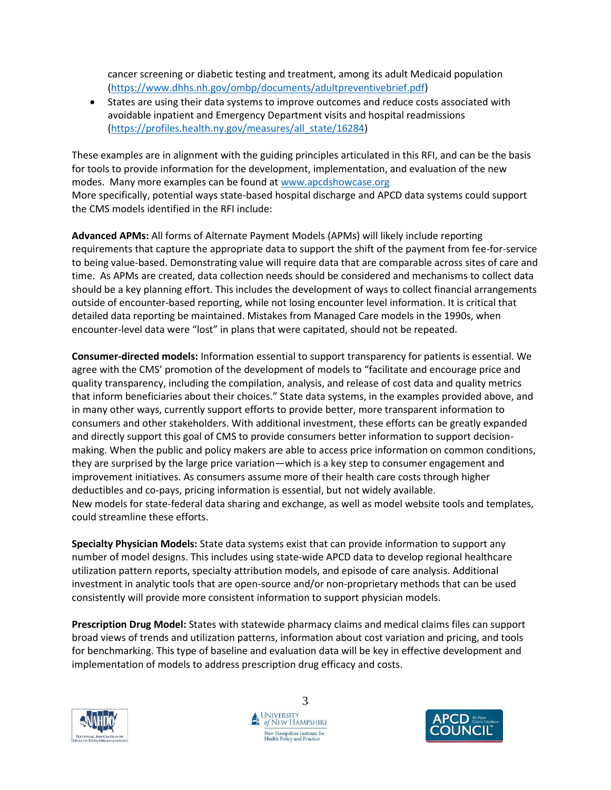cancer screening or diabetic testing and treatment, among its adult Medicaid population [\(https://www.dhhs.nh.gov/ombp/documents/adultpreventivebrief.pdf\)](https://www.dhhs.nh.gov/ombp/documents/adultpreventivebrief.pdf)

 States are using their data systems to improve outcomes and reduce costs associated with avoidable inpatient and Emergency Department visits and hospital readmissions [\(https://profiles.health.ny.gov/measures/all\\_state/16284\)](https://profiles.health.ny.gov/measures/all_state/16284)

These examples are in alignment with the guiding principles articulated in this RFI, and can be the basis for tools to provide information for the development, implementation, and evaluation of the new modes. Many more examples can be found at [www.apcdshowcase.org](http://www.apcdshowcase.org/) More specifically, potential ways state-based hospital discharge and APCD data systems could support the CMS models identified in the RFI include:

**Advanced APMs:** All forms of Alternate Payment Models (APMs) will likely include reporting requirements that capture the appropriate data to support the shift of the payment from fee-for-service to being value-based. Demonstrating value will require data that are comparable across sites of care and time. As APMs are created, data collection needs should be considered and mechanisms to collect data should be a key planning effort. This includes the development of ways to collect financial arrangements outside of encounter-based reporting, while not losing encounter level information. It is critical that detailed data reporting be maintained. Mistakes from Managed Care models in the 1990s, when encounter-level data were "lost" in plans that were capitated, should not be repeated.

**Consumer-directed models:** Information essential to support transparency for patients is essential. We agree with the CMS' promotion of the development of models to "facilitate and encourage price and quality transparency, including the compilation, analysis, and release of cost data and quality metrics that inform beneficiaries about their choices." State data systems, in the examples provided above, and in many other ways, currently support efforts to provide better, more transparent information to consumers and other stakeholders. With additional investment, these efforts can be greatly expanded and directly support this goal of CMS to provide consumers better information to support decisionmaking. When the public and policy makers are able to access price information on common conditions, they are surprised by the large price variation—which is a key step to consumer engagement and improvement initiatives. As consumers assume more of their health care costs through higher deductibles and co-pays, pricing information is essential, but not widely available. New models for state-federal data sharing and exchange, as well as model website tools and templates, could streamline these efforts.

**Specialty Physician Models:** State data systems exist that can provide information to support any number of model designs. This includes using state-wide APCD data to develop regional healthcare utilization pattern reports, specialty attribution models, and episode of care analysis. Additional investment in analytic tools that are open-source and/or non-proprietary methods that can be used consistently will provide more consistent information to support physician models.

**Prescription Drug Model:** States with statewide pharmacy claims and medical claims files can support broad views of trends and utilization patterns, information about cost variation and pricing, and tools for benchmarking. This type of baseline and evaluation data will be key in effective development and implementation of models to address prescription drug efficacy and costs.





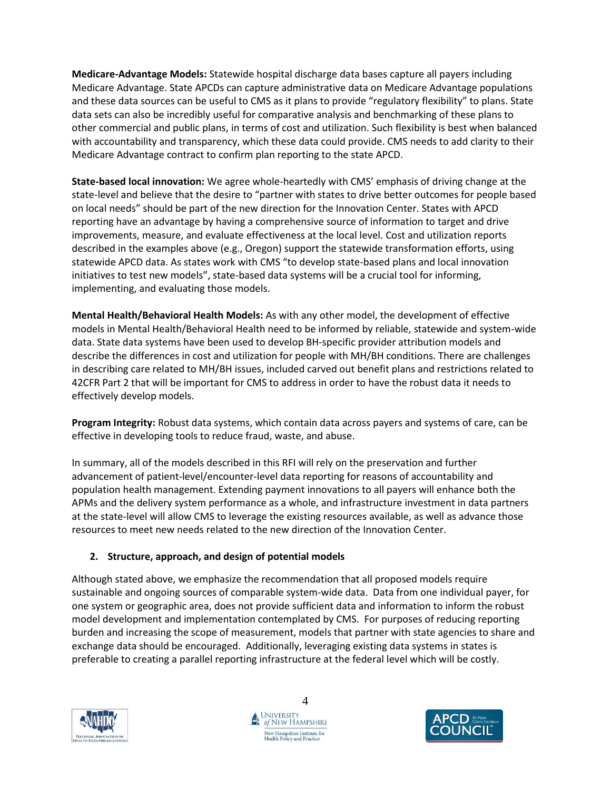**Medicare-Advantage Models:** Statewide hospital discharge data bases capture all payers including Medicare Advantage. State APCDs can capture administrative data on Medicare Advantage populations and these data sources can be useful to CMS as it plans to provide "regulatory flexibility" to plans. State data sets can also be incredibly useful for comparative analysis and benchmarking of these plans to other commercial and public plans, in terms of cost and utilization. Such flexibility is best when balanced with accountability and transparency, which these data could provide. CMS needs to add clarity to their Medicare Advantage contract to confirm plan reporting to the state APCD.

**State-based local innovation:** We agree whole-heartedly with CMS' emphasis of driving change at the state-level and believe that the desire to "partner with states to drive better outcomes for people based on local needs" should be part of the new direction for the Innovation Center. States with APCD reporting have an advantage by having a comprehensive source of information to target and drive improvements, measure, and evaluate effectiveness at the local level. Cost and utilization reports described in the examples above (e.g., Oregon) support the statewide transformation efforts, using statewide APCD data. As states work with CMS "to develop state-based plans and local innovation initiatives to test new models", state-based data systems will be a crucial tool for informing, implementing, and evaluating those models.

**Mental Health/Behavioral Health Models:** As with any other model, the development of effective models in Mental Health/Behavioral Health need to be informed by reliable, statewide and system-wide data. State data systems have been used to develop BH-specific provider attribution models and describe the differences in cost and utilization for people with MH/BH conditions. There are challenges in describing care related to MH/BH issues, included carved out benefit plans and restrictions related to 42CFR Part 2 that will be important for CMS to address in order to have the robust data it needs to effectively develop models.

**Program Integrity:** Robust data systems, which contain data across payers and systems of care, can be effective in developing tools to reduce fraud, waste, and abuse.

In summary, all of the models described in this RFI will rely on the preservation and further advancement of patient-level/encounter-level data reporting for reasons of accountability and population health management. Extending payment innovations to all payers will enhance both the APMs and the delivery system performance as a whole, and infrastructure investment in data partners at the state-level will allow CMS to leverage the existing resources available, as well as advance those resources to meet new needs related to the new direction of the Innovation Center.

## **2. Structure, approach, and design of potential models**

Although stated above, we emphasize the recommendation that all proposed models require sustainable and ongoing sources of comparable system-wide data. Data from one individual payer, for one system or geographic area, does not provide sufficient data and information to inform the robust model development and implementation contemplated by CMS. For purposes of reducing reporting burden and increasing the scope of measurement, models that partner with state agencies to share and exchange data should be encouraged. Additionally, leveraging existing data systems in states is preferable to creating a parallel reporting infrastructure at the federal level which will be costly.